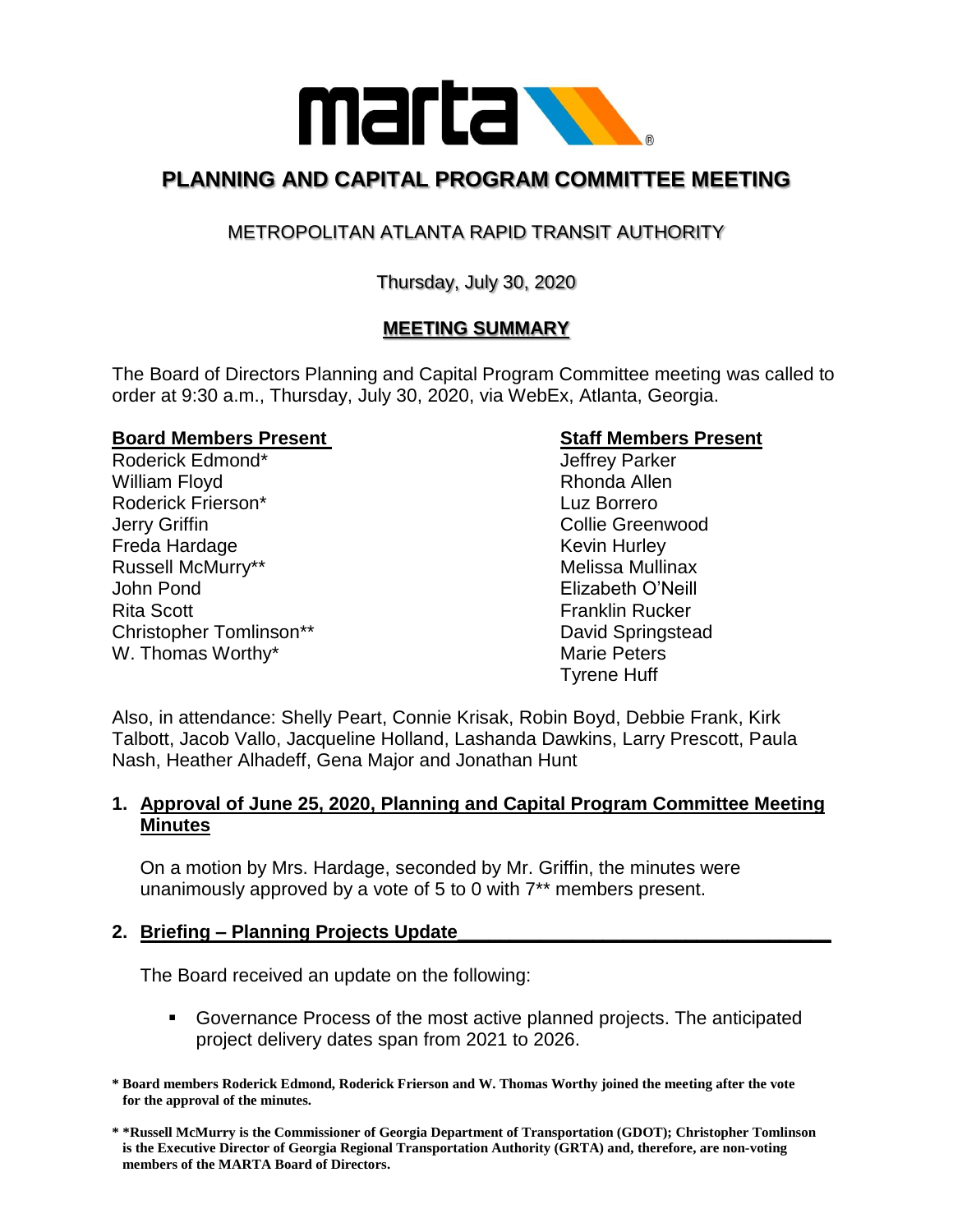

# **PLANNING AND CAPITAL PROGRAM COMMITTEE MEETING**

## METROPOLITAN ATLANTA RAPID TRANSIT AUTHORITY

Thursday, July 30, 2020

## **MEETING SUMMARY**

The Board of Directors Planning and Capital Program Committee meeting was called to order at 9:30 a.m., Thursday, July 30, 2020, via WebEx, Atlanta, Georgia.

#### **Board Members Present Communist Communist Communist Communist Communist Communist Communist Communist Communist Communist Communist Communist Communist Communist Communist Communist Communist Communist Communist Communist**

Roderick Edmond\* The Contract of the Second Leftrey Parker William Floyd **Rhonda Allen** Roderick Frierson\* Luz Borrero **Jerry Griffin Collie Greenwood** Freda Hardage Kevin Hurley Russell McMurry\*\* The Controller of the Melissa Mullinax John Pond Elizabeth O'Neill Rita Scott **Franklin Rucker** Franklin Rucker Christopher Tomlinson\*\* The Christopher Tomlinson behavior and David Springstead W. Thomas Worthy\* The Contract of the Marie Peters Marie Peters

Tyrene Huff

Also, in attendance: Shelly Peart, Connie Krisak, Robin Boyd, Debbie Frank, Kirk Talbott, Jacob Vallo, Jacqueline Holland, Lashanda Dawkins, Larry Prescott, Paula Nash, Heather Alhadeff, Gena Major and Jonathan Hunt

### **1. Approval of June 25, 2020, Planning and Capital Program Committee Meeting Minutes**

On a motion by Mrs. Hardage, seconded by Mr. Griffin, the minutes were unanimously approved by a vote of 5 to 0 with 7\*\* members present.

#### **2. Briefing – Planning Projects Update\_\_\_\_\_\_\_\_\_\_\_\_\_\_\_\_\_\_\_\_\_\_\_\_\_\_\_\_\_\_\_\_\_\_\_\_**

The Board received an update on the following:

- Governance Process of the most active planned projects. The anticipated project delivery dates span from 2021 to 2026.
- **\* Board members Roderick Edmond, Roderick Frierson and W. Thomas Worthy joined the meeting after the vote for the approval of the minutes.**

**<sup>\* \*</sup>Russell McMurry is the Commissioner of Georgia Department of Transportation (GDOT); Christopher Tomlinson is the Executive Director of Georgia Regional Transportation Authority (GRTA) and, therefore, are non-voting members of the MARTA Board of Directors.**